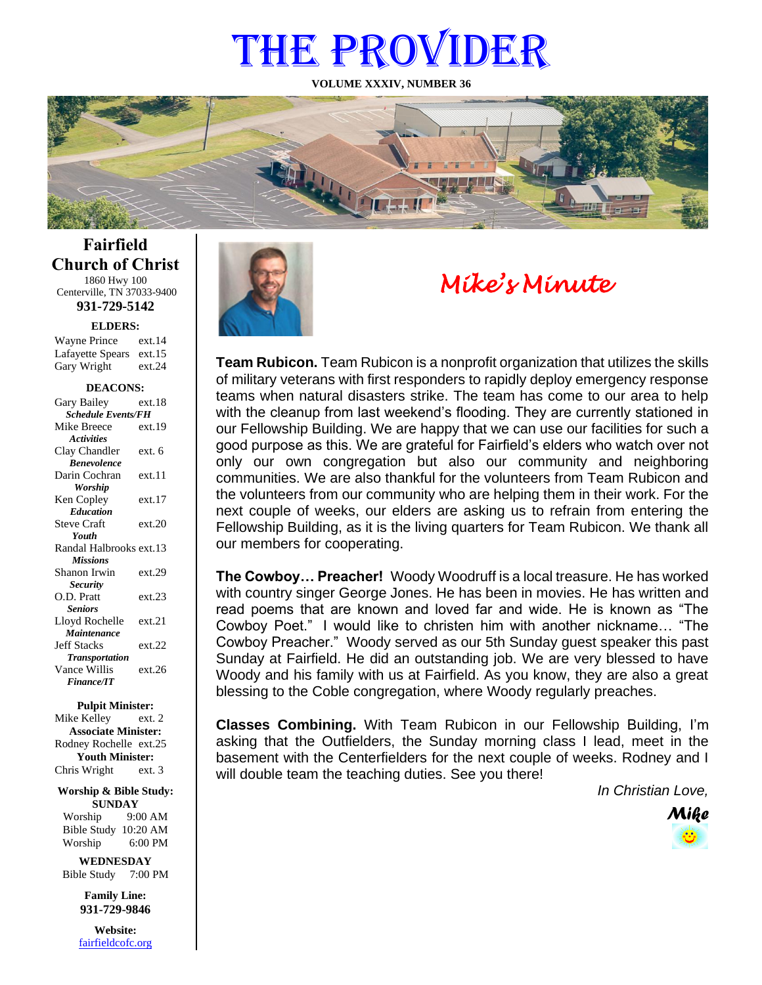# THE PROVIDER

**VOLUME XXXIV, NUMBER 36**



**Fairfield Church of Christ** 1860 Hwy 100 Centerville, TN 37033-9400

**931-729-5142**

Gary Wright ext.24 **ELDERS:** Wayne Prince ext.14 Lafayette Spears ext.15

#### **DEACONS:**

| Gary Bailey                      | ext.18 |
|----------------------------------|--------|
| <b>Schedule Events/FH</b>        |        |
| Mike Breece                      | ext.19 |
| <b>Activities</b>                |        |
| Clay Chandler                    | ext. 6 |
| <b><i><u>Renevolence</u></i></b> |        |
| Darin Cochran                    | ext.11 |
| Worship                          |        |
| Ken Copley                       | ext.17 |
| <b>Education</b>                 |        |
| <b>Steve Craft</b>               | ext.20 |
| Youth                            |        |
| Randal Halbrooks ext.13          |        |
| <b>Missions</b>                  |        |
| Shanon Irwin                     | ext.29 |
| <b>Security</b>                  |        |
| O.D. Pratt                       | ext.23 |
| <b>Seniors</b>                   |        |
| Lloyd Rochelle                   | ext.21 |
| Maintenance                      |        |
| <b>Jeff Stacks</b>               | ext.22 |
| <b>Transportation</b>            |        |
| Vance Willis                     | ext.26 |
| <b>Finance/IT</b>                |        |
|                                  |        |

#### **Pulpit Minister:**

Mike Kelley ext. 2 **Associate Minister:** Rodney Rochelle ext.25 **Youth Minister:** Chris Wright ext. 3

**Worship & Bible Study: SUNDAY**

Worship 9:00 AM Bible Study 10:20 AM Worship 6:00 PM

**WEDNESDAY** Bible Study 7:00 PM

> **Family Line: 931-729-9846**

**Website:** [fairfieldcofc.org](file:///C:/Users/RickJoyce/Documents/Fairfield%20Website%20Files/fairfieldchurchofchrist.org)



# *Mike's Minute*

**Team Rubicon.** Team Rubicon is a nonprofit organization that utilizes the skills of military veterans with first responders to rapidly deploy emergency response teams when natural disasters strike. The team has come to our area to help with the cleanup from last weekend's flooding. They are currently stationed in our Fellowship Building. We are happy that we can use our facilities for such a good purpose as this. We are grateful for Fairfield's elders who watch over not only our own congregation but also our community and neighboring communities. We are also thankful for the volunteers from Team Rubicon and the volunteers from our community who are helping them in their work. For the next couple of weeks, our elders are asking us to refrain from entering the Fellowship Building, as it is the living quarters for Team Rubicon. We thank all our members for cooperating.

**The Cowboy… Preacher!** Woody Woodruff is a local treasure. He has worked with country singer George Jones. He has been in movies. He has written and read poems that are known and loved far and wide. He is known as "The Cowboy Poet." I would like to christen him with another nickname… "The Cowboy Preacher." Woody served as our 5th Sunday guest speaker this past Sunday at Fairfield. He did an outstanding job. We are very blessed to have Woody and his family with us at Fairfield. As you know, they are also a great blessing to the Coble congregation, where Woody regularly preaches.

**Classes Combining.** With Team Rubicon in our Fellowship Building, I'm asking that the Outfielders, the Sunday morning class I lead, meet in the basement with the Centerfielders for the next couple of weeks. Rodney and I will double team the teaching duties. See you there!

*In Christian Love,*

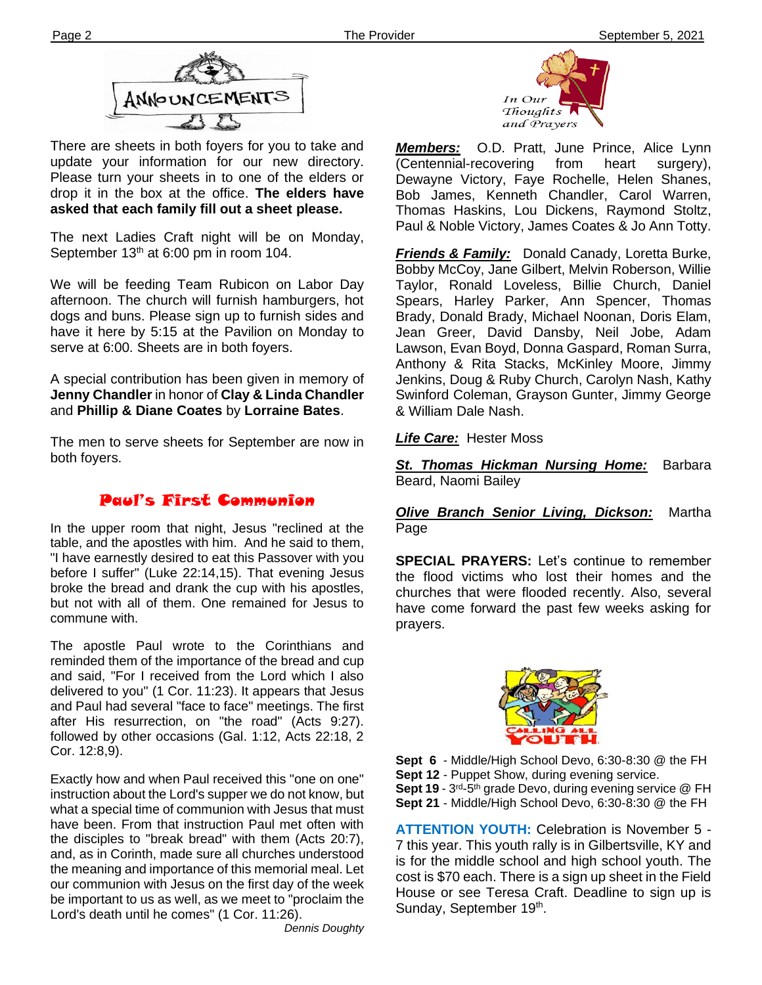

There are sheets in both foyers for you to take and update your information for our new directory. Please turn your sheets in to one of the elders or drop it in the box at the office. **The elders have asked that each family fill out a sheet please.**

September 13<sup>th</sup> at 6:00 pm in room 104. The next Ladies Craft night will be on Monday,

We will be feeding Team Rubicon on Labor Day afternoon. The church will furnish hamburgers, hot dogs and buns. Please sign up to furnish sides and have it here by 5:15 at the Pavilion on Monday to serve at 6:00. Sheets are in both foyers.

A special contribution has been given in memory of **Jenny Chandler** in honor of **Clay & Linda Chandler** and **Phillip & Diane Coates** by **Lorraine Bates**.

The men to serve sheets for September are now in both foyers.

### Paul's First Communion

In the upper room that night, Jesus "reclined at the table, and the apostles with him. And he said to them, "I have earnestly desired to eat this Passover with you before I suffer" (Luke 22:14,15). That evening Jesus broke the bread and drank the cup with his apostles, but not with all of them. One remained for Jesus to commune with.

**filem** after His resurrection, on "the road" (Acts 9:27). The apostle Paul wrote to the Corinthians and reminded them of the importance of the bread and cup and said, "For I received from the Lord which I also delivered to you" (1 Cor. 11:23). It appears that Jesus and Paul had several "face to face" meetings. The first followed by other occasions (Gal. 1:12, Acts 22:18, 2 Cor. 12:8,9).

Exactly how and when Paul received this "one on one" instruction about the Lord's supper we do not know, but what a special time of communion with Jesus that must have been. From that instruction Paul met often with the disciples to "break bread" with them (Acts 20:7), and, as in Corinth, made sure all churches understood the meaning and importance of this memorial meal. Let our communion with Jesus on the first day of the week be important to us as well, as we meet to "proclaim the Lord's death until he comes" (1 Cor. 11:26).

*Dennis Doughty*



*Members:* O.D. Pratt, June Prince, Alice Lynn (Centennial-recovering from heart surgery), Dewayne Victory, Faye Rochelle, Helen Shanes, Bob James, Kenneth Chandler, Carol Warren, Thomas Haskins, Lou Dickens, Raymond Stoltz, Paul & Noble Victory, James Coates & Jo Ann Totty.

*Friends & Family:* Donald Canady, Loretta Burke, Bobby McCoy, Jane Gilbert, Melvin Roberson, Willie Taylor, Ronald Loveless, Billie Church, Daniel Spears, Harley Parker, Ann Spencer, Thomas Brady, Donald Brady, Michael Noonan, Doris Elam, Jean Greer, David Dansby, Neil Jobe, Adam Lawson, Evan Boyd, Donna Gaspard, Roman Surra, Anthony & Rita Stacks, McKinley Moore, Jimmy Jenkins, Doug & Ruby Church, Carolyn Nash, Kathy Swinford Coleman, Grayson Gunter, Jimmy George & William Dale Nash.

#### *Life Care:* Hester Moss

*St. Thomas Hickman Nursing Home:* Barbara Beard, Naomi Bailey

#### *Olive Branch Senior Living, Dickson:* Martha Page

**SPECIAL PRAYERS:** Let's continue to remember the flood victims who lost their homes and the churches that were flooded recently. Also, several have come forward the past few weeks asking for prayers.



**Sept 6** - Middle/High School Devo, 6:30-8:30 @ the FH **Sept 12** - Puppet Show, during evening service. **Sept 19** - 3<sup>rd</sup>-5<sup>th</sup> grade Devo, during evening service @ FH **Sept 21** - Middle/High School Devo, 6:30-8:30 @ the FH

**ATTENTION YOUTH:** Celebration is November 5 - 7 this year. This youth rally is in Gilbertsville, KY and is for the middle school and high school youth. The cost is \$70 each. There is a sign up sheet in the Field House or see Teresa Craft. Deadline to sign up is Sunday, September 19<sup>th</sup>.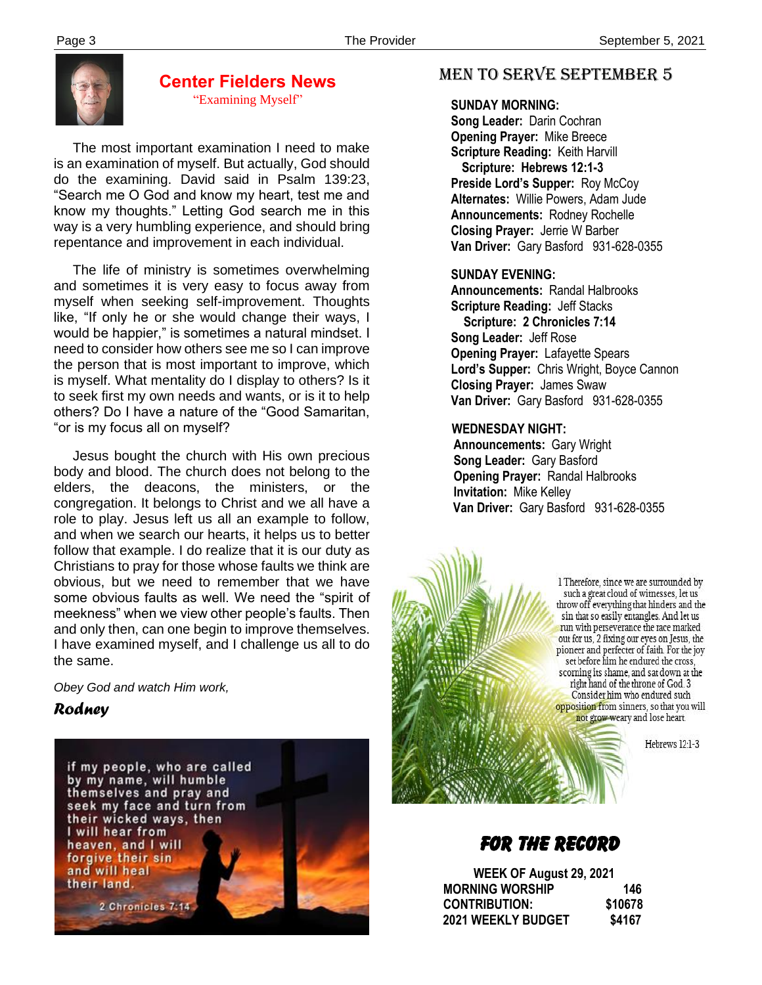

#### **Center Fielders News** "Examining Myself"

 The most important examination I need to make is an examination of myself. But actually, God should do the examining. David said in Psalm 139:23, "Search me O God and know my heart, test me and know my thoughts." Letting God search me in this way is a very humbling experience, and should bring repentance and improvement in each individual.

 The life of ministry is sometimes overwhelming and sometimes it is very easy to focus away from myself when seeking self-improvement. Thoughts like, "If only he or she would change their ways, I would be happier," is sometimes a natural mindset. I need to consider how others see me so I can improve the person that is most important to improve, which is myself. What mentality do I display to others? Is it to seek first my own needs and wants, or is it to help others? Do I have a nature of the "Good Samaritan, "or is my focus all on myself?

 Jesus bought the church with His own precious body and blood. The church does not belong to the elders, the deacons, the ministers, or the congregation. It belongs to Christ and we all have a role to play. Jesus left us all an example to follow, and when we search our hearts, it helps us to better follow that example. I do realize that it is our duty as Christians to pray for those whose faults we think are obvious, but we need to remember that we have some obvious faults as well. We need the "spirit of meekness" when we view other people's faults. Then and only then, can one begin to improve themselves. I have examined myself, and I challenge us all to do the same.

*Obey God and watch Him work,*

#### *Rodney*



#### MEN TO SERVE September 5

 **SUNDAY MORNING:**

**Song Leader:** Darin Cochran  **Opening Prayer:** Mike Breece **Scripture Reading:** Keith Harvill  **Scripture: Hebrews 12:1-3 Preside Lord's Supper:** Roy McCoy  **Alternates:** Willie Powers, Adam Jude  **Announcements:** Rodney Rochelle  **Closing Prayer:** Jerrie W Barber **Van Driver:** Gary Basford 931-628-0355

#### **SUNDAY EVENING:**

**Announcements:** Randal Halbrooks **Scripture Reading:** Jeff Stacks  **Scripture: 2 Chronicles 7:14 Song Leader:** Jeff Rose **Opening Prayer:** Lafayette Spears **Lord's Supper:** Chris Wright, Boyce Cannon **Closing Prayer:** James Swaw **Van Driver:** Gary Basford 931-628-0355

#### **WEDNESDAY NIGHT:**

**Announcements:** Gary Wright **Song Leader:** Gary Basford **Opening Prayer:** Randal Halbrooks **Invitation:** Mike Kelley  **Van Driver:** Gary Basford 931-628-0355

> 1 Therefore, since we are surrounded by such a great cloud of witnesses, let us throw off everything that hinders and the sin that so easily entangles. And let us run with perseverance the race marked out for us, 2 fixing our eyes on Jesus, the pioneer and perfecter of faith. For the joy set before him he endured the cross, scorning its shame, and sat down at the right hand of the throne of God. 3 Consider him who endured such opposition from sinners, so that you will not grow weary and lose heart.

> > Hebrews 12:1-3

## FOR THE RECORD

 **WEEK OF August 29, 2021 MORNING WORSHIP 146 CONTRIBUTION: \$10678 2021 WEEKLY BUDGET \$4167**